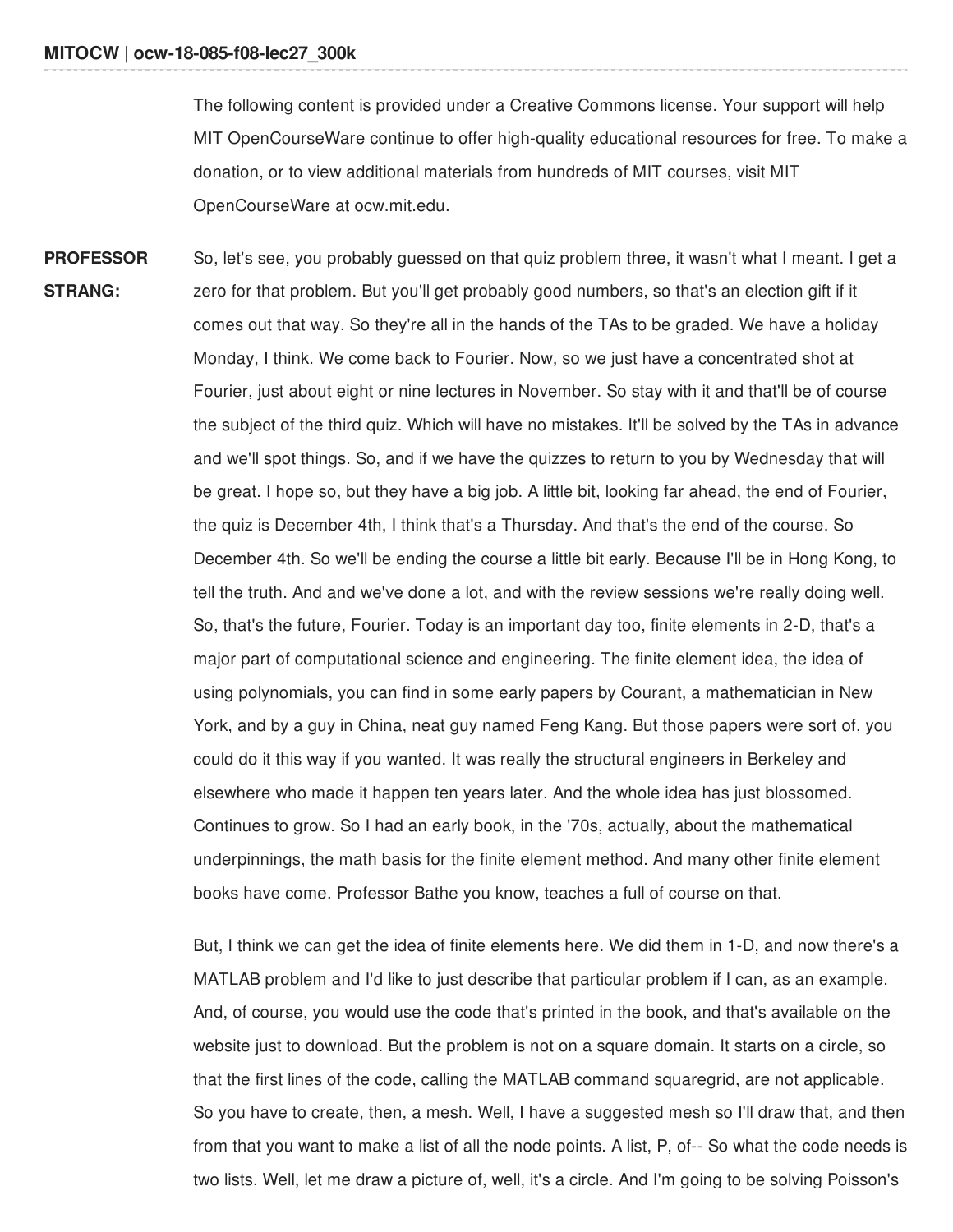The following content is provided under a Creative Commons license. Your support will help MIT OpenCourseWare continue to offer high-quality educational resources for free. To make a donation, or to view additional materials from hundreds of MIT courses, visit MIT OpenCourseWare at ocw.mit.edu.

**PROFESSOR STRANG:** So, let's see, you probably guessed on that quiz problem three, it wasn't what I meant. I get a zero for that problem. But you'll get probably good numbers, so that's an election gift if it comes out that way. So they're all in the hands of the TAs to be graded. We have a holiday Monday, I think. We come back to Fourier. Now, so we just have a concentrated shot at Fourier, just about eight or nine lectures in November. So stay with it and that'll be of course the subject of the third quiz. Which will have no mistakes. It'll be solved by the TAs in advance and we'll spot things. So, and if we have the quizzes to return to you by Wednesday that will be great. I hope so, but they have a big job. A little bit, looking far ahead, the end of Fourier, the quiz is December 4th, I think that's a Thursday. And that's the end of the course. So December 4th. So we'll be ending the course a little bit early. Because I'll be in Hong Kong, to tell the truth. And and we've done a lot, and with the review sessions we're really doing well. So, that's the future, Fourier. Today is an important day too, finite elements in 2-D, that's a major part of computational science and engineering. The finite element idea, the idea of using polynomials, you can find in some early papers by Courant, a mathematician in New York, and by a guy in China, neat guy named Feng Kang. But those papers were sort of, you could do it this way if you wanted. It was really the structural engineers in Berkeley and elsewhere who made it happen ten years later. And the whole idea has just blossomed. Continues to grow. So I had an early book, in the '70s, actually, about the mathematical underpinnings, the math basis for the finite element method. And many other finite element books have come. Professor Bathe you know, teaches a full of course on that.

> But, I think we can get the idea of finite elements here. We did them in 1-D, and now there's a MATLAB problem and I'd like to just describe that particular problem if I can, as an example. And, of course, you would use the code that's printed in the book, and that's available on the website just to download. But the problem is not on a square domain. It starts on a circle, so that the first lines of the code, calling the MATLAB command squaregrid, are not applicable. So you have to create, then, a mesh. Well, I have a suggested mesh so I'll draw that, and then from that you want to make a list of all the node points. A list, P, of-- So what the code needs is two lists. Well, let me draw a picture of, well, it's a circle. And I'm going to be solving Poisson's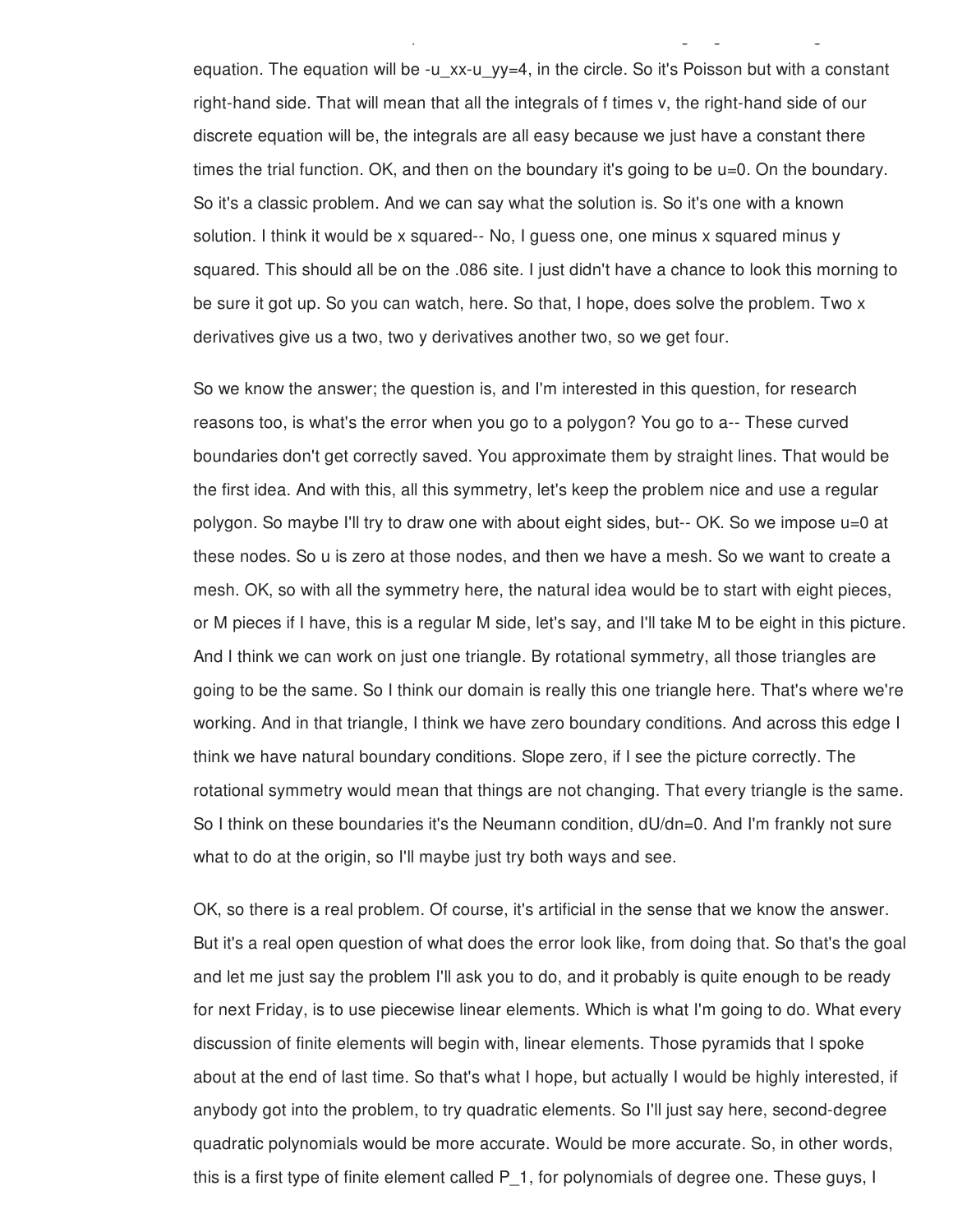equation. The equation will be -u  $xx$ -u  $yy=4$ , in the circle. So it's Poisson but with a constant right-hand side. That will mean that all the integrals of f times v, the right-hand side of our discrete equation will be, the integrals are all easy because we just have a constant there times the trial function. OK, and then on the boundary it's going to be u=0. On the boundary. So it's a classic problem. And we can say what the solution is. So it's one with a known solution. I think it would be x squared-- No, I guess one, one minus x squared minus y squared. This should all be on the .086 site. I just didn't have a chance to look this morning to be sure it got up. So you can watch, here. So that, I hope, does solve the problem. Two x derivatives give us a two, two y derivatives another two, so we get four.

two lists. Well, let me draw a picture of, well, it's a circle. And I'm going to be solving Poisson's

So we know the answer; the question is, and I'm interested in this question, for research reasons too, is what's the error when you go to a polygon? You go to a-- These curved boundaries don't get correctly saved. You approximate them by straight lines. That would be the first idea. And with this, all this symmetry, let's keep the problem nice and use a regular polygon. So maybe I'll try to draw one with about eight sides, but-- OK. So we impose u=0 at these nodes. So u is zero at those nodes, and then we have a mesh. So we want to create a mesh. OK, so with all the symmetry here, the natural idea would be to start with eight pieces, or M pieces if I have, this is a regular M side, let's say, and I'll take M to be eight in this picture. And I think we can work on just one triangle. By rotational symmetry, all those triangles are going to be the same. So I think our domain is really this one triangle here. That's where we're working. And in that triangle, I think we have zero boundary conditions. And across this edge I think we have natural boundary conditions. Slope zero, if I see the picture correctly. The rotational symmetry would mean that things are not changing. That every triangle is the same. So I think on these boundaries it's the Neumann condition, dU/dn=0. And I'm frankly not sure what to do at the origin, so I'll maybe just try both ways and see.

OK, so there is a real problem. Of course, it's artificial in the sense that we know the answer. But it's a real open question of what does the error look like, from doing that. So that's the goal and let me just say the problem I'll ask you to do, and it probably is quite enough to be ready for next Friday, is to use piecewise linear elements. Which is what I'm going to do. What every discussion of finite elements will begin with, linear elements. Those pyramids that I spoke about at the end of last time. So that's what I hope, but actually I would be highly interested, if anybody got into the problem, to try quadratic elements. So I'll just say here, second-degree quadratic polynomials would be more accurate. Would be more accurate. So, in other words, this is a first type of finite element called P\_1, for polynomials of degree one. These guys, I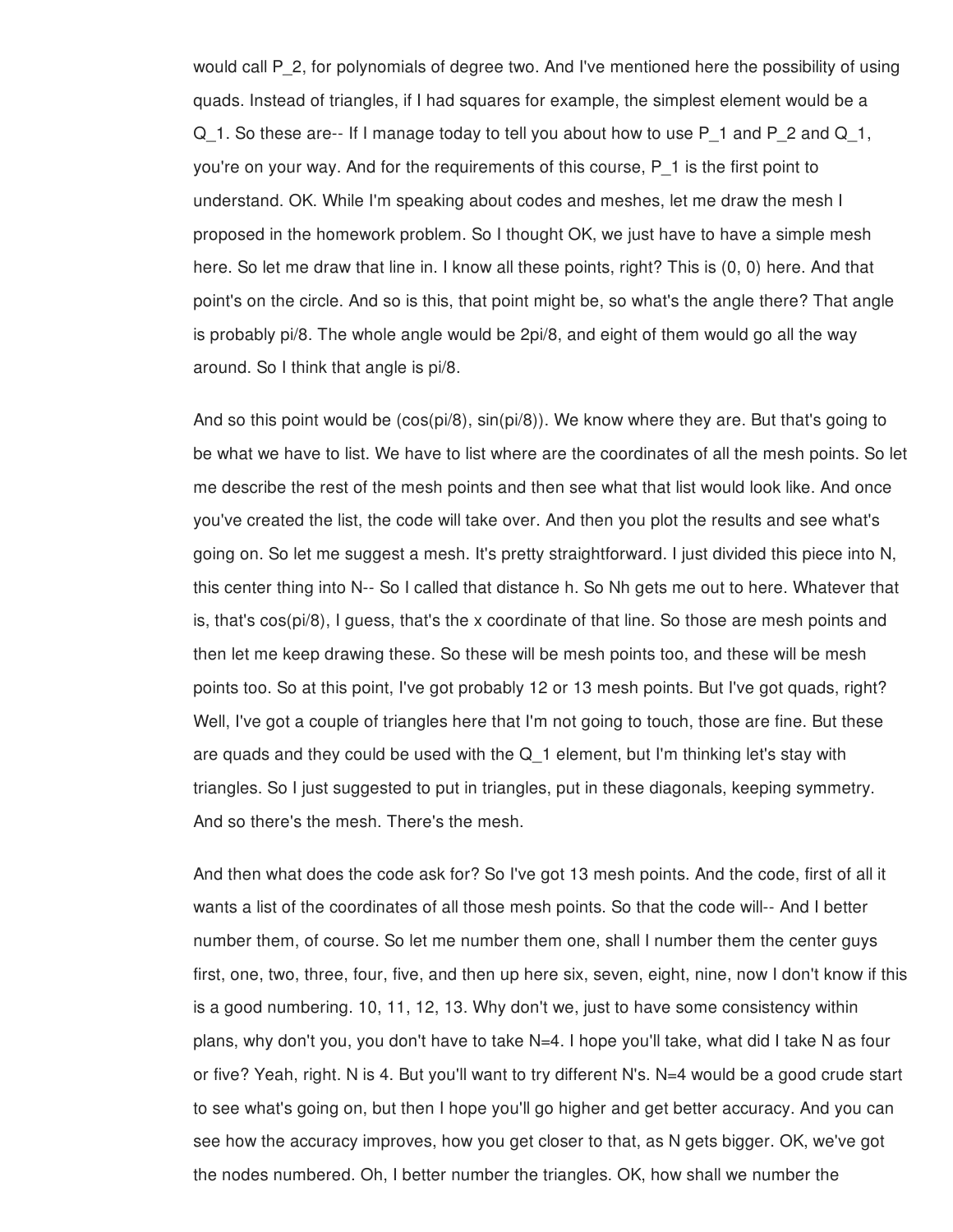would call P\_2, for polynomials of degree two. And I've mentioned here the possibility of using quads. Instead of triangles, if I had squares for example, the simplest element would be a Q 1. So these are-- If I manage today to tell you about how to use P 1 and P 2 and Q 1, you're on your way. And for the requirements of this course, P\_1 is the first point to understand. OK. While I'm speaking about codes and meshes, let me draw the mesh I proposed in the homework problem. So I thought OK, we just have to have a simple mesh here. So let me draw that line in. I know all these points, right? This is (0, 0) here. And that point's on the circle. And so is this, that point might be, so what's the angle there? That angle is probably pi/8. The whole angle would be 2pi/8, and eight of them would go all the way around. So I think that angle is pi/8.

And so this point would be (cos(pi/8), sin(pi/8)). We know where they are. But that's going to be what we have to list. We have to list where are the coordinates of all the mesh points. So let me describe the rest of the mesh points and then see what that list would look like. And once you've created the list, the code will take over. And then you plot the results and see what's going on. So let me suggest a mesh. It's pretty straightforward. I just divided this piece into N, this center thing into N-- So I called that distance h. So Nh gets me out to here. Whatever that is, that's cos(pi/8), I guess, that's the x coordinate of that line. So those are mesh points and then let me keep drawing these. So these will be mesh points too, and these will be mesh points too. So at this point, I've got probably 12 or 13 mesh points. But I've got quads, right? Well, I've got a couple of triangles here that I'm not going to touch, those are fine. But these are quads and they could be used with the  $Q_1$  element, but I'm thinking let's stay with triangles. So I just suggested to put in triangles, put in these diagonals, keeping symmetry. And so there's the mesh. There's the mesh.

And then what does the code ask for? So I've got 13 mesh points. And the code, first of all it wants a list of the coordinates of all those mesh points. So that the code will-- And I better number them, of course. So let me number them one, shall I number them the center guys first, one, two, three, four, five, and then up here six, seven, eight, nine, now I don't know if this is a good numbering. 10, 11, 12, 13. Why don't we, just to have some consistency within plans, why don't you, you don't have to take N=4. I hope you'll take, what did I take N as four or five? Yeah, right. N is 4. But you'll want to try different N's. N=4 would be a good crude start to see what's going on, but then I hope you'll go higher and get better accuracy. And you can see how the accuracy improves, how you get closer to that, as N gets bigger. OK, we've got the nodes numbered. Oh, I better number the triangles. OK, how shall we number the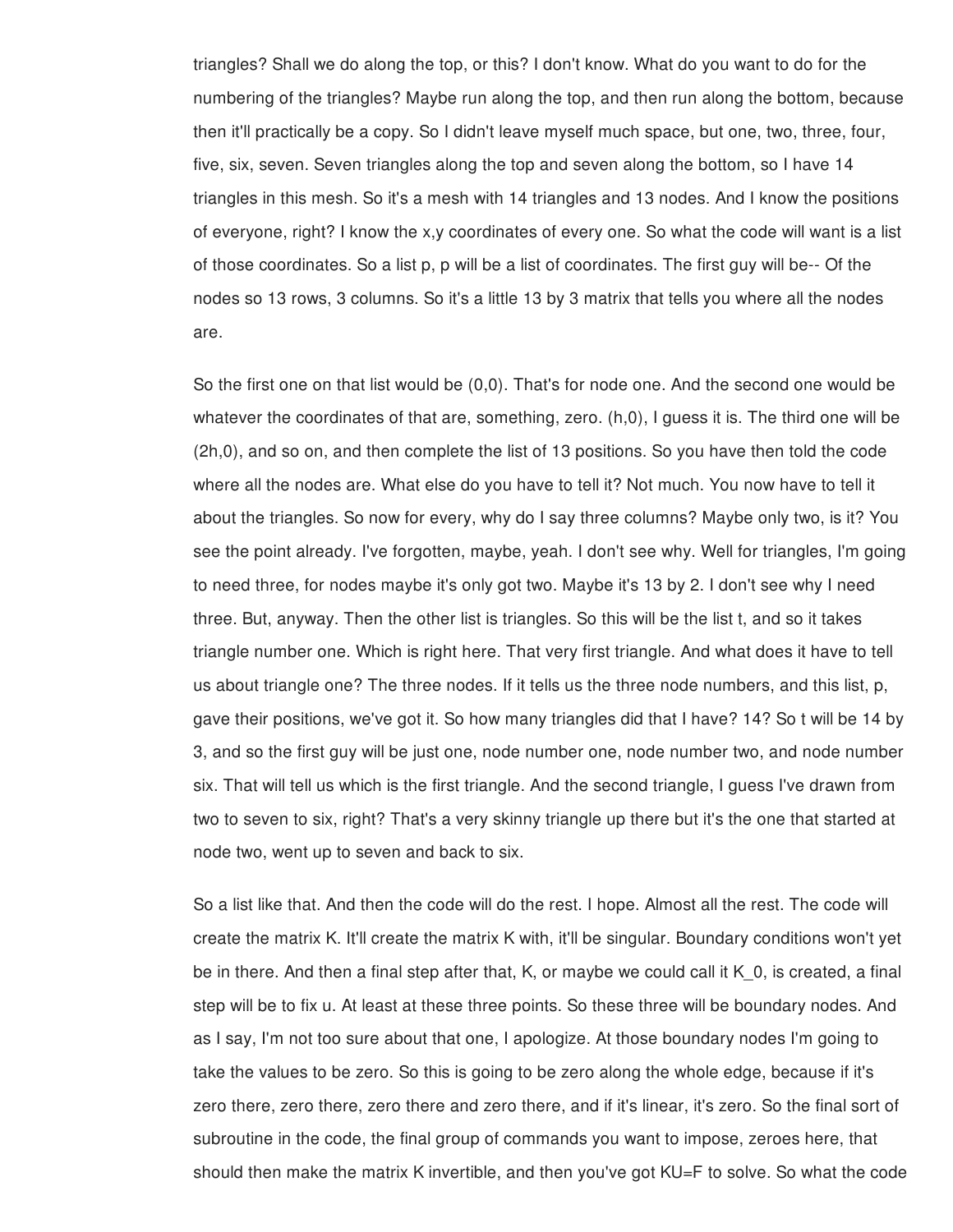triangles? Shall we do along the top, or this? I don't know. What do you want to do for the numbering of the triangles? Maybe run along the top, and then run along the bottom, because then it'll practically be a copy. So I didn't leave myself much space, but one, two, three, four, five, six, seven. Seven triangles along the top and seven along the bottom, so I have 14 triangles in this mesh. So it's a mesh with 14 triangles and 13 nodes. And I know the positions of everyone, right? I know the x,y coordinates of every one. So what the code will want is a list of those coordinates. So a list p, p will be a list of coordinates. The first guy will be-- Of the nodes so 13 rows, 3 columns. So it's a little 13 by 3 matrix that tells you where all the nodes are.

So the first one on that list would be (0,0). That's for node one. And the second one would be whatever the coordinates of that are, something, zero. (h,0), I guess it is. The third one will be (2h,0), and so on, and then complete the list of 13 positions. So you have then told the code where all the nodes are. What else do you have to tell it? Not much. You now have to tell it about the triangles. So now for every, why do I say three columns? Maybe only two, is it? You see the point already. I've forgotten, maybe, yeah. I don't see why. Well for triangles, I'm going to need three, for nodes maybe it's only got two. Maybe it's 13 by 2. I don't see why I need three. But, anyway. Then the other list is triangles. So this will be the list t, and so it takes triangle number one. Which is right here. That very first triangle. And what does it have to tell us about triangle one? The three nodes. If it tells us the three node numbers, and this list, p, gave their positions, we've got it. So how many triangles did that I have? 14? So t will be 14 by 3, and so the first guy will be just one, node number one, node number two, and node number six. That will tell us which is the first triangle. And the second triangle, I guess I've drawn from two to seven to six, right? That's a very skinny triangle up there but it's the one that started at node two, went up to seven and back to six.

So a list like that. And then the code will do the rest. I hope. Almost all the rest. The code will create the matrix K. It'll create the matrix K with, it'll be singular. Boundary conditions won't yet be in there. And then a final step after that, K, or maybe we could call it K\_0, is created, a final step will be to fix u. At least at these three points. So these three will be boundary nodes. And as I say, I'm not too sure about that one, I apologize. At those boundary nodes I'm going to take the values to be zero. So this is going to be zero along the whole edge, because if it's zero there, zero there, zero there and zero there, and if it's linear, it's zero. So the final sort of subroutine in the code, the final group of commands you want to impose, zeroes here, that should then make the matrix K invertible, and then you've got KU=F to solve. So what the code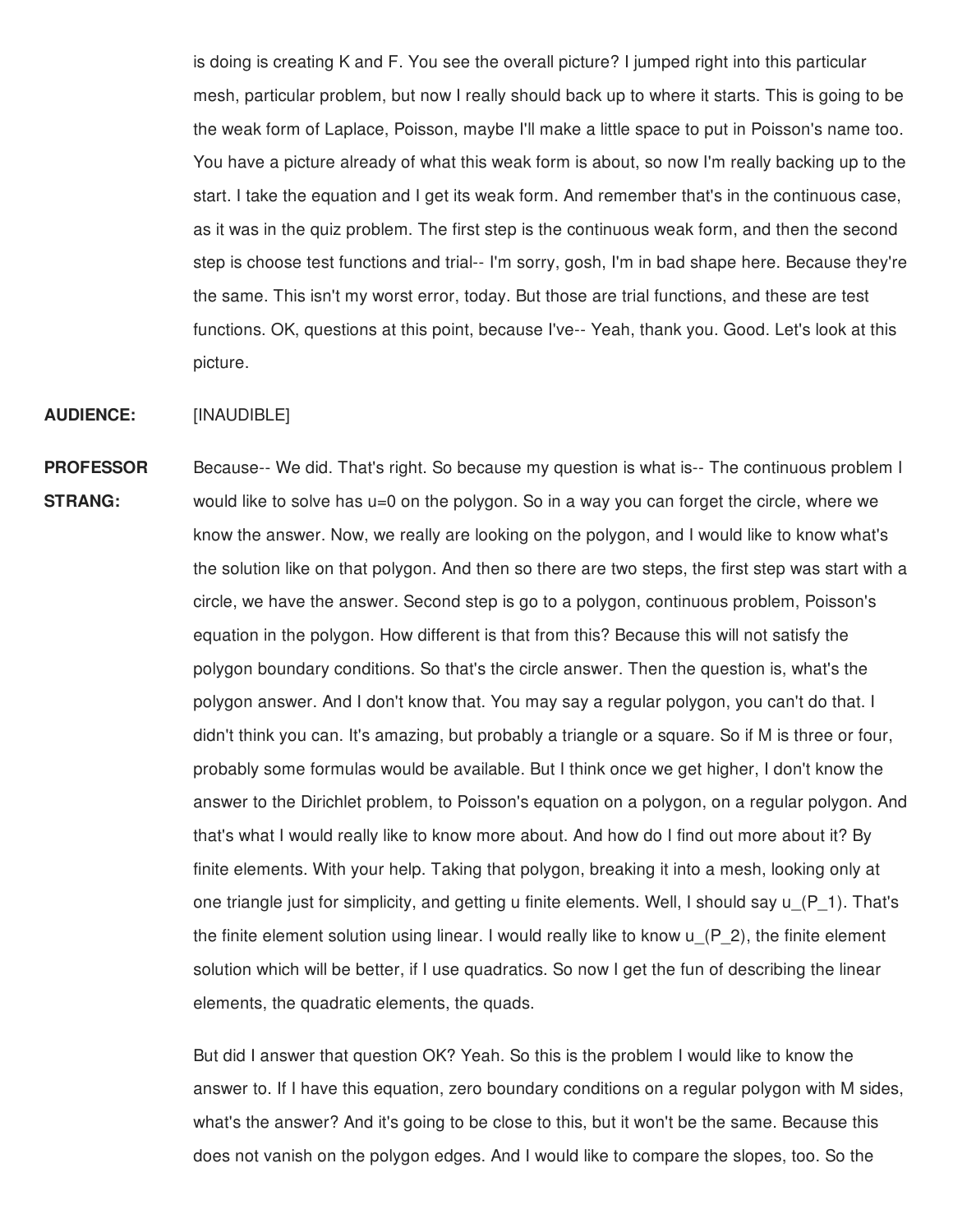is doing is creating K and F. You see the overall picture? I jumped right into this particular mesh, particular problem, but now I really should back up to where it starts. This is going to be the weak form of Laplace, Poisson, maybe I'll make a little space to put in Poisson's name too. You have a picture already of what this weak form is about, so now I'm really backing up to the start. I take the equation and I get its weak form. And remember that's in the continuous case, as it was in the quiz problem. The first step is the continuous weak form, and then the second step is choose test functions and trial-- I'm sorry, gosh, I'm in bad shape here. Because they're the same. This isn't my worst error, today. But those are trial functions, and these are test functions. OK, questions at this point, because I've-- Yeah, thank you. Good. Let's look at this picture.

## **AUDIENCE:** [INAUDIBLE]

**PROFESSOR STRANG:** Because-- We did. That's right. So because my question is what is-- The continuous problem I would like to solve has u=0 on the polygon. So in a way you can forget the circle, where we know the answer. Now, we really are looking on the polygon, and I would like to know what's the solution like on that polygon. And then so there are two steps, the first step was start with a circle, we have the answer. Second step is go to a polygon, continuous problem, Poisson's equation in the polygon. How different is that from this? Because this will not satisfy the polygon boundary conditions. So that's the circle answer. Then the question is, what's the polygon answer. And I don't know that. You may say a regular polygon, you can't do that. I didn't think you can. It's amazing, but probably a triangle or a square. So if M is three or four, probably some formulas would be available. But I think once we get higher, I don't know the answer to the Dirichlet problem, to Poisson's equation on a polygon, on a regular polygon. And that's what I would really like to know more about. And how do I find out more about it? By finite elements. With your help. Taking that polygon, breaking it into a mesh, looking only at one triangle just for simplicity, and getting u finite elements. Well, I should say  $\mu$  (P 1). That's the finite element solution using linear. I would really like to know u\_(P\_2), the finite element solution which will be better, if I use quadratics. So now I get the fun of describing the linear elements, the quadratic elements, the quads.

> But did I answer that question OK? Yeah. So this is the problem I would like to know the answer to. If I have this equation, zero boundary conditions on a regular polygon with M sides, what's the answer? And it's going to be close to this, but it won't be the same. Because this does not vanish on the polygon edges. And I would like to compare the slopes, too. So the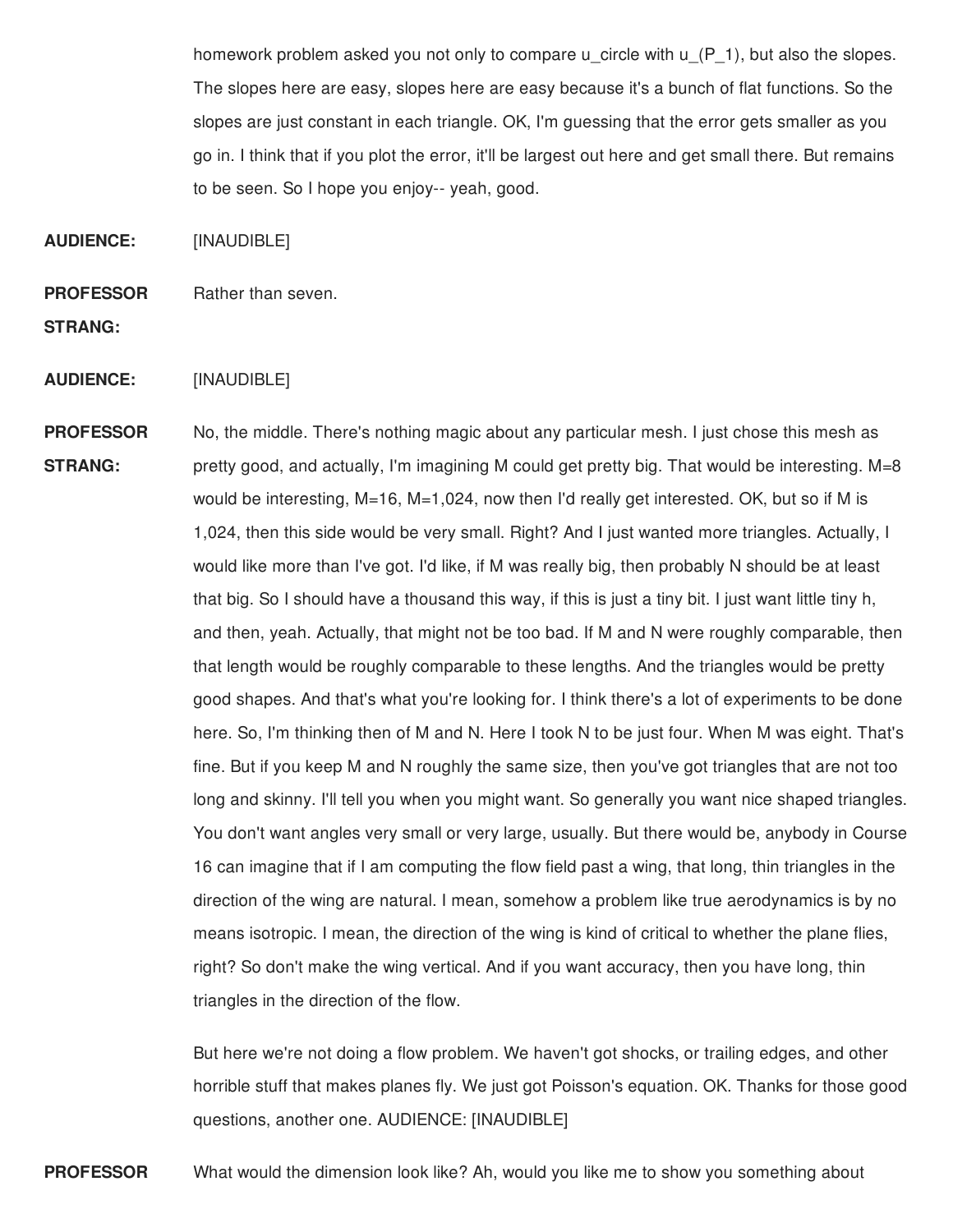homework problem asked you not only to compare u\_circle with u\_(P\_1), but also the slopes. The slopes here are easy, slopes here are easy because it's a bunch of flat functions. So the slopes are just constant in each triangle. OK, I'm guessing that the error gets smaller as you go in. I think that if you plot the error, it'll be largest out here and get small there. But remains to be seen. So I hope you enjoy-- yeah, good.

**AUDIENCE:** [INAUDIBLE]

**PROFESSOR** Rather than seven.

- **STRANG:**
- **AUDIENCE:** [INAUDIBLE]

**PROFESSOR STRANG:** No, the middle. There's nothing magic about any particular mesh. I just chose this mesh as pretty good, and actually, I'm imagining M could get pretty big. That would be interesting. M=8 would be interesting,  $M=16$ ,  $M=1,024$ , now then I'd really get interested. OK, but so if M is 1,024, then this side would be very small. Right? And I just wanted more triangles. Actually, I would like more than I've got. I'd like, if M was really big, then probably N should be at least that big. So I should have a thousand this way, if this is just a tiny bit. I just want little tiny h, and then, yeah. Actually, that might not be too bad. If M and N were roughly comparable, then that length would be roughly comparable to these lengths. And the triangles would be pretty good shapes. And that's what you're looking for. I think there's a lot of experiments to be done here. So, I'm thinking then of M and N. Here I took N to be just four. When M was eight. That's fine. But if you keep M and N roughly the same size, then you've got triangles that are not too long and skinny. I'll tell you when you might want. So generally you want nice shaped triangles. You don't want angles very small or very large, usually. But there would be, anybody in Course 16 can imagine that if I am computing the flow field past a wing, that long, thin triangles in the direction of the wing are natural. I mean, somehow a problem like true aerodynamics is by no means isotropic. I mean, the direction of the wing is kind of critical to whether the plane flies, right? So don't make the wing vertical. And if you want accuracy, then you have long, thin triangles in the direction of the flow.

> But here we're not doing a flow problem. We haven't got shocks, or trailing edges, and other horrible stuff that makes planes fly. We just got Poisson's equation. OK. Thanks for those good questions, another one. AUDIENCE: [INAUDIBLE]

**PROFESSOR** What would the dimension look like? Ah, would you like me to show you something about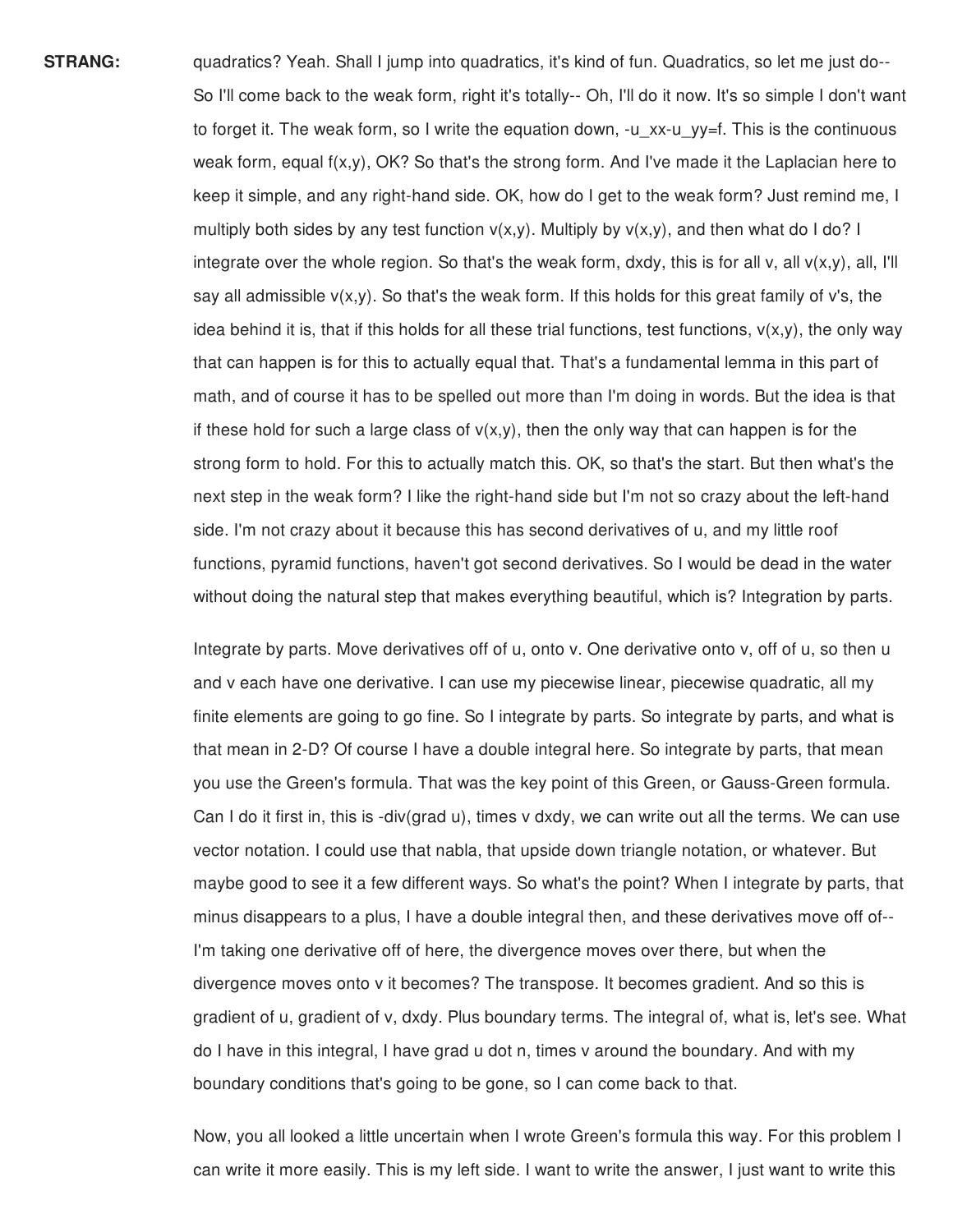**STRANG:** quadratics? Yeah. Shall I jump into quadratics, it's kind of fun. Quadratics, so let me just do--So I'll come back to the weak form, right it's totally-- Oh, I'll do it now. It's so simple I don't want to forget it. The weak form, so I write the equation down, -u\_xx-u\_yy=f. This is the continuous weak form, equal f(x,y), OK? So that's the strong form. And I've made it the Laplacian here to keep it simple, and any right-hand side. OK, how do I get to the weak form? Just remind me, I multiply both sides by any test function  $v(x,y)$ . Multiply by  $v(x,y)$ , and then what do I do? I integrate over the whole region. So that's the weak form, dxdy, this is for all v, all  $v(x,y)$ , all, I'll say all admissible  $v(x,y)$ . So that's the weak form. If this holds for this great family of v's, the idea behind it is, that if this holds for all these trial functions, test functions,  $v(x,y)$ , the only way that can happen is for this to actually equal that. That's a fundamental lemma in this part of math, and of course it has to be spelled out more than I'm doing in words. But the idea is that if these hold for such a large class of  $v(x,y)$ , then the only way that can happen is for the strong form to hold. For this to actually match this. OK, so that's the start. But then what's the next step in the weak form? I like the right-hand side but I'm not so crazy about the left-hand side. I'm not crazy about it because this has second derivatives of u, and my little roof functions, pyramid functions, haven't got second derivatives. So I would be dead in the water without doing the natural step that makes everything beautiful, which is? Integration by parts.

> Integrate by parts. Move derivatives off of u, onto v. One derivative onto v, off of u, so then u and v each have one derivative. I can use my piecewise linear, piecewise quadratic, all my finite elements are going to go fine. So I integrate by parts. So integrate by parts, and what is that mean in 2-D? Of course I have a double integral here. So integrate by parts, that mean you use the Green's formula. That was the key point of this Green, or Gauss-Green formula. Can I do it first in, this is -div(grad u), times v dxdy, we can write out all the terms. We can use vector notation. I could use that nabla, that upside down triangle notation, or whatever. But maybe good to see it a few different ways. So what's the point? When I integrate by parts, that minus disappears to a plus, I have a double integral then, and these derivatives move off of-- I'm taking one derivative off of here, the divergence moves over there, but when the divergence moves onto v it becomes? The transpose. It becomes gradient. And so this is gradient of u, gradient of v, dxdy. Plus boundary terms. The integral of, what is, let's see. What do I have in this integral, I have grad u dot n, times v around the boundary. And with my boundary conditions that's going to be gone, so I can come back to that.

> Now, you all looked a little uncertain when I wrote Green's formula this way. For this problem I can write it more easily. This is my left side. I want to write the answer, I just want to write this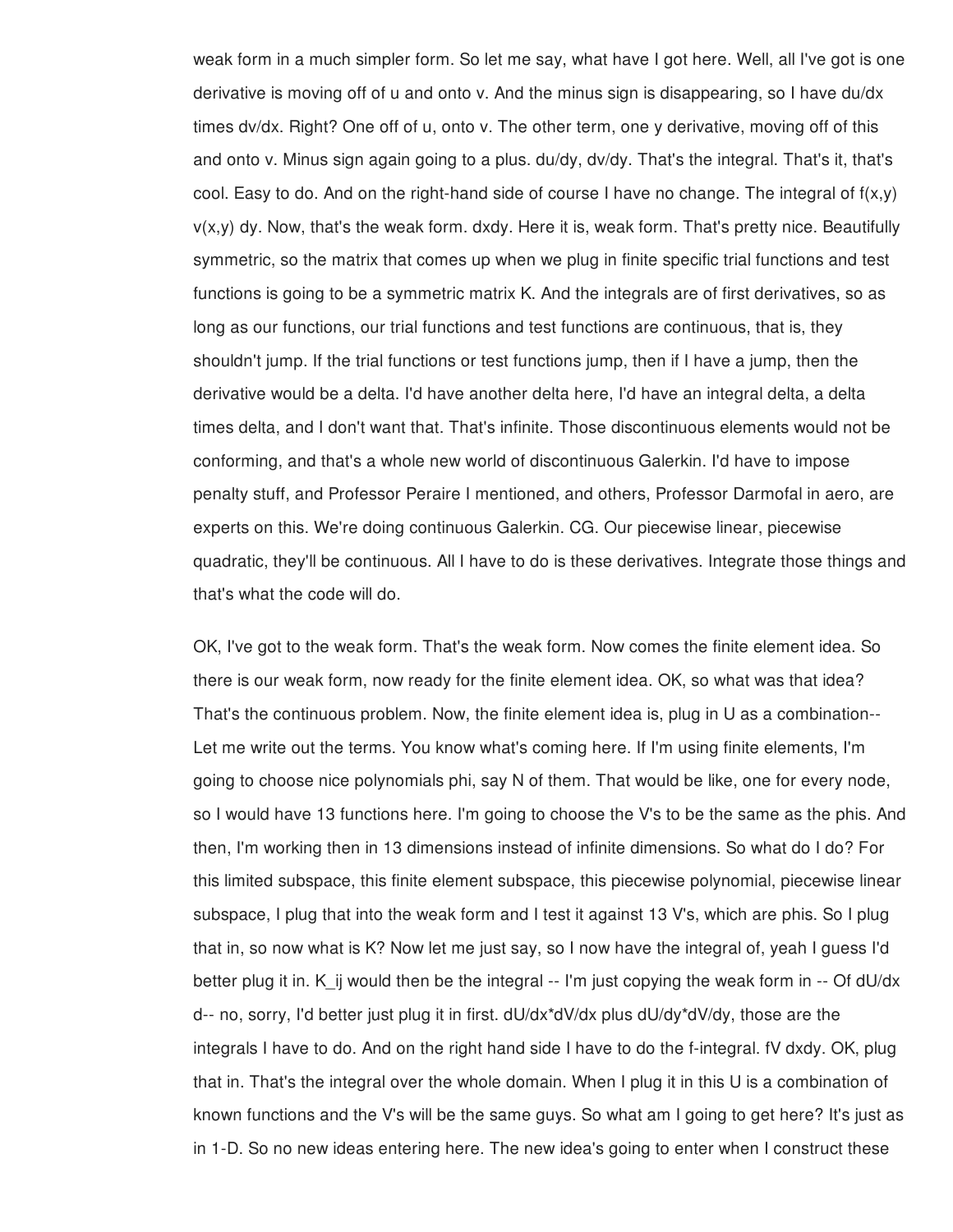weak form in a much simpler form. So let me say, what have I got here. Well, all I've got is one derivative is moving off of u and onto v. And the minus sign is disappearing, so I have du/dx times dv/dx. Right? One off of u, onto v. The other term, one y derivative, moving off of this and onto v. Minus sign again going to a plus. du/dy, dv/dy. That's the integral. That's it, that's cool. Easy to do. And on the right-hand side of course I have no change. The integral of  $f(x,y)$ v(x,y) dy. Now, that's the weak form. dxdy. Here it is, weak form. That's pretty nice. Beautifully symmetric, so the matrix that comes up when we plug in finite specific trial functions and test functions is going to be a symmetric matrix K. And the integrals are of first derivatives, so as long as our functions, our trial functions and test functions are continuous, that is, they shouldn't jump. If the trial functions or test functions jump, then if I have a jump, then the derivative would be a delta. I'd have another delta here, I'd have an integral delta, a delta times delta, and I don't want that. That's infinite. Those discontinuous elements would not be conforming, and that's a whole new world of discontinuous Galerkin. I'd have to impose penalty stuff, and Professor Peraire I mentioned, and others, Professor Darmofal in aero, are experts on this. We're doing continuous Galerkin. CG. Our piecewise linear, piecewise quadratic, they'll be continuous. All I have to do is these derivatives. Integrate those things and that's what the code will do.

OK, I've got to the weak form. That's the weak form. Now comes the finite element idea. So there is our weak form, now ready for the finite element idea. OK, so what was that idea? That's the continuous problem. Now, the finite element idea is, plug in U as a combination-- Let me write out the terms. You know what's coming here. If I'm using finite elements, I'm going to choose nice polynomials phi, say N of them. That would be like, one for every node, so I would have 13 functions here. I'm going to choose the V's to be the same as the phis. And then, I'm working then in 13 dimensions instead of infinite dimensions. So what do I do? For this limited subspace, this finite element subspace, this piecewise polynomial, piecewise linear subspace, I plug that into the weak form and I test it against 13 V's, which are phis. So I plug that in, so now what is K? Now let me just say, so I now have the integral of, yeah I guess I'd better plug it in. K\_ij would then be the integral  $-$  I'm just copying the weak form in  $-$  Of dU/dx d-- no, sorry, I'd better just plug it in first. dU/dx\*dV/dx plus dU/dy\*dV/dy, those are the integrals I have to do. And on the right hand side I have to do the f-integral. fV dxdy. OK, plug that in. That's the integral over the whole domain. When I plug it in this U is a combination of known functions and the V's will be the same guys. So what am I going to get here? It's just as in 1-D. So no new ideas entering here. The new idea's going to enter when I construct these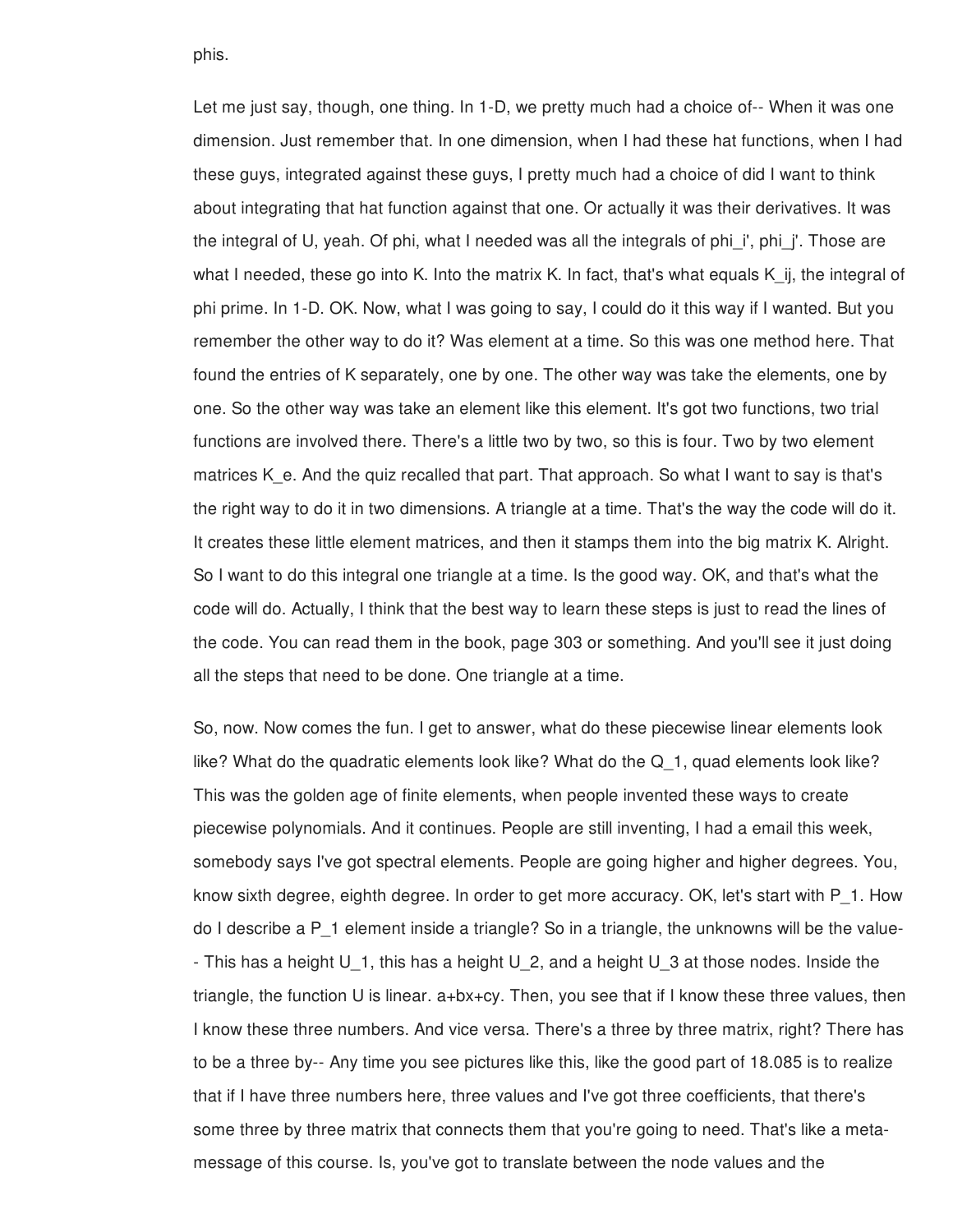phis.

Let me just say, though, one thing. In 1-D, we pretty much had a choice of-- When it was one dimension. Just remember that. In one dimension, when I had these hat functions, when I had these guys, integrated against these guys, I pretty much had a choice of did I want to think about integrating that hat function against that one. Or actually it was their derivatives. It was the integral of U, yeah. Of phi, what I needed was all the integrals of phi i', phi j'. Those are what I needed, these go into K. Into the matrix K. In fact, that's what equals K ij, the integral of phi prime. In 1-D. OK. Now, what I was going to say, I could do it this way if I wanted. But you remember the other way to do it? Was element at a time. So this was one method here. That found the entries of K separately, one by one. The other way was take the elements, one by one. So the other way was take an element like this element. It's got two functions, two trial functions are involved there. There's a little two by two, so this is four. Two by two element matrices K e. And the quiz recalled that part. That approach. So what I want to say is that's the right way to do it in two dimensions. A triangle at a time. That's the way the code will do it. It creates these little element matrices, and then it stamps them into the big matrix K. Alright. So I want to do this integral one triangle at a time. Is the good way. OK, and that's what the code will do. Actually, I think that the best way to learn these steps is just to read the lines of the code. You can read them in the book, page 303 or something. And you'll see it just doing all the steps that need to be done. One triangle at a time.

So, now. Now comes the fun. I get to answer, what do these piecewise linear elements look like? What do the quadratic elements look like? What do the Q\_1, quad elements look like? This was the golden age of finite elements, when people invented these ways to create piecewise polynomials. And it continues. People are still inventing, I had a email this week, somebody says I've got spectral elements. People are going higher and higher degrees. You, know sixth degree, eighth degree. In order to get more accuracy. OK, let's start with P\_1. How do I describe a P\_1 element inside a triangle? So in a triangle, the unknowns will be the value- - This has a height U\_1, this has a height U\_2, and a height U\_3 at those nodes. Inside the triangle, the function U is linear. a+bx+cy. Then, you see that if I know these three values, then I know these three numbers. And vice versa. There's a three by three matrix, right? There has to be a three by-- Any time you see pictures like this, like the good part of 18.085 is to realize that if I have three numbers here, three values and I've got three coefficients, that there's some three by three matrix that connects them that you're going to need. That's like a metamessage of this course. Is, you've got to translate between the node values and the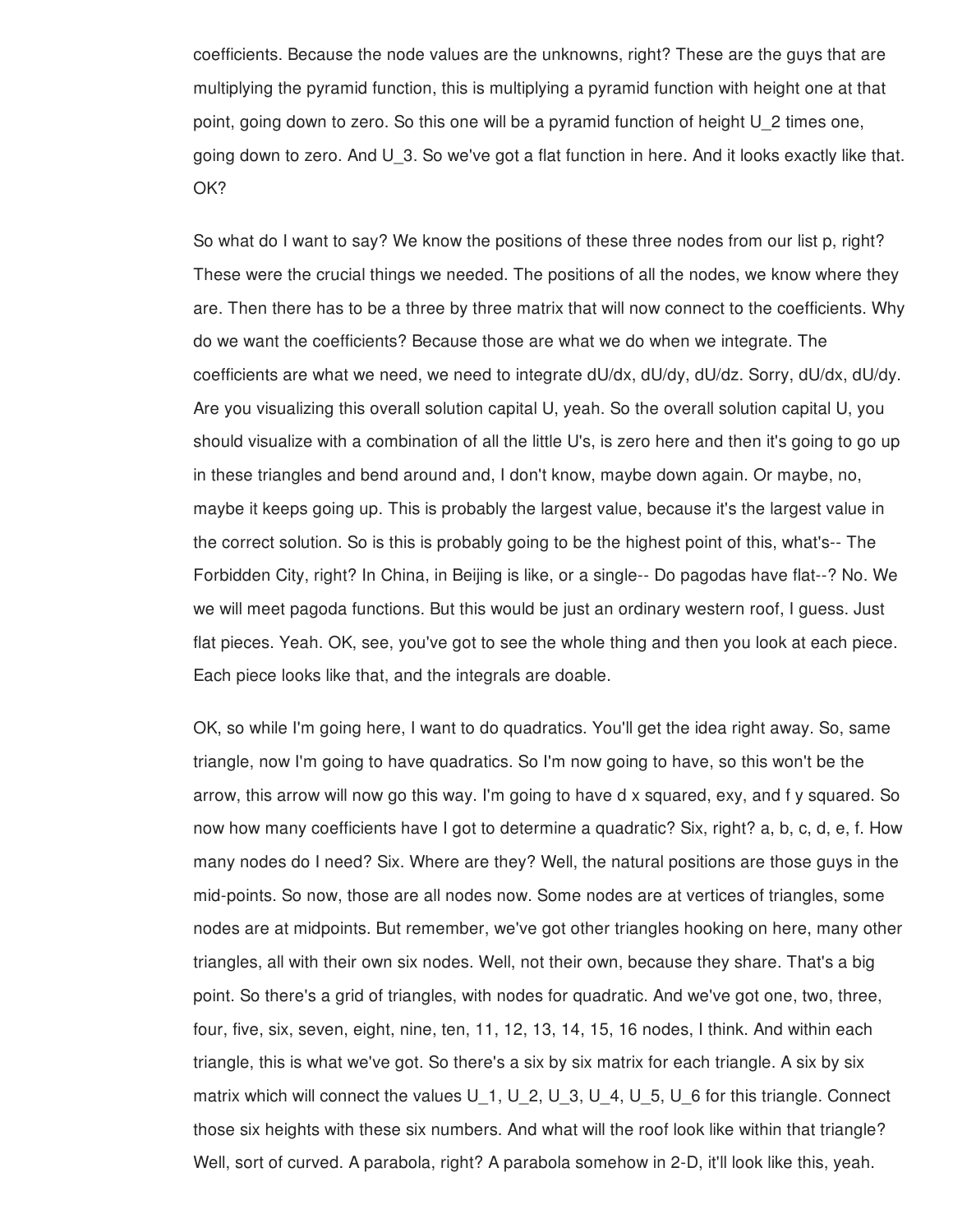coefficients. Because the node values are the unknowns, right? These are the guys that are multiplying the pyramid function, this is multiplying a pyramid function with height one at that point, going down to zero. So this one will be a pyramid function of height U\_2 times one, going down to zero. And U\_3. So we've got a flat function in here. And it looks exactly like that. OK?

So what do I want to say? We know the positions of these three nodes from our list p, right? These were the crucial things we needed. The positions of all the nodes, we know where they are. Then there has to be a three by three matrix that will now connect to the coefficients. Why do we want the coefficients? Because those are what we do when we integrate. The coefficients are what we need, we need to integrate dU/dx, dU/dy, dU/dz. Sorry, dU/dx, dU/dy. Are you visualizing this overall solution capital U, yeah. So the overall solution capital U, you should visualize with a combination of all the little U's, is zero here and then it's going to go up in these triangles and bend around and, I don't know, maybe down again. Or maybe, no, maybe it keeps going up. This is probably the largest value, because it's the largest value in the correct solution. So is this is probably going to be the highest point of this, what's-- The Forbidden City, right? In China, in Beijing is like, or a single-- Do pagodas have flat--? No. We we will meet pagoda functions. But this would be just an ordinary western roof, I guess. Just flat pieces. Yeah. OK, see, you've got to see the whole thing and then you look at each piece. Each piece looks like that, and the integrals are doable.

OK, so while I'm going here, I want to do quadratics. You'll get the idea right away. So, same triangle, now I'm going to have quadratics. So I'm now going to have, so this won't be the arrow, this arrow will now go this way. I'm going to have d x squared, exy, and f y squared. So now how many coefficients have I got to determine a quadratic? Six, right? a, b, c, d, e, f. How many nodes do I need? Six. Where are they? Well, the natural positions are those guys in the mid-points. So now, those are all nodes now. Some nodes are at vertices of triangles, some nodes are at midpoints. But remember, we've got other triangles hooking on here, many other triangles, all with their own six nodes. Well, not their own, because they share. That's a big point. So there's a grid of triangles, with nodes for quadratic. And we've got one, two, three, four, five, six, seven, eight, nine, ten, 11, 12, 13, 14, 15, 16 nodes, I think. And within each triangle, this is what we've got. So there's a six by six matrix for each triangle. A six by six matrix which will connect the values U<sub>1</sub>, U<sub>2</sub>, U<sub>3</sub>, U<sub>4</sub>, U<sub>5</sub>, U<sub>6</sub> for this triangle. Connect those six heights with these six numbers. And what will the roof look like within that triangle? Well, sort of curved. A parabola, right? A parabola somehow in 2-D, it'll look like this, yeah.